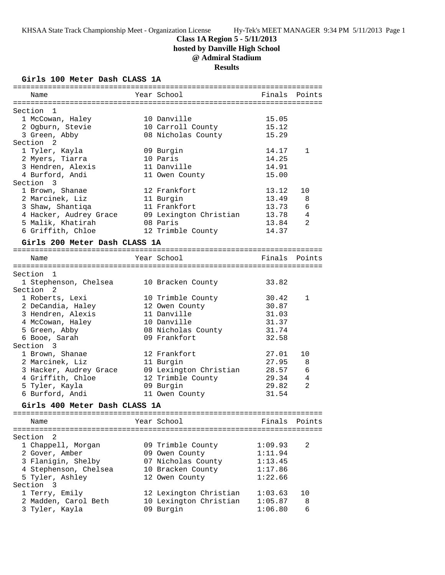## **Class 1A Region 5 - 5/11/2013**

**hosted by Danville High School**

# **@ Admiral Stadium**

**Results**

#### **Girls 100 Meter Dash CLASS 1A**

| Name                               | Year School            |         | Finals Points  |
|------------------------------------|------------------------|---------|----------------|
|                                    |                        |         |                |
| Section 1                          |                        |         |                |
| 1 McCowan, Haley                   | 10 Danville            | 15.05   |                |
| 2 Ogburn, Stevie                   | 10 Carroll County      | 15.12   |                |
| 3 Green, Abby                      | 08 Nicholas County     | 15.29   |                |
| Section 2                          |                        |         |                |
| 1 Tyler, Kayla                     | 09 Burgin              | 14.17   | $\mathbf{1}$   |
| 2 Myers, Tiarra                    | 10 Paris               | 14.25   |                |
| 3 Hendren, Alexis                  | 11 Danville            | 14.91   |                |
|                                    |                        |         |                |
| 4 Burford, Andi<br>Section 3       | 11 Owen County         | 15.00   |                |
|                                    |                        |         |                |
| 1 Brown, Shanae                    | 12 Frankfort           | 13.12   | 10             |
| 2 Marcinek, Liz                    | 11 Burgin              | 13.49   | 8              |
| 3 Shaw, Shantiqa                   | 11 Frankfort           | 13.73   | 6              |
| 4 Hacker, Audrey Grace             | 09 Lexington Christian | 13.78   | 4              |
| 5 Malik, Khatirah                  | 08 Paris               | 13.84   | 2              |
| 6 Griffith, Chloe                  | 12 Trimble County      | 14.37   |                |
| Girls 200 Meter Dash CLASS 1A      |                        |         |                |
|                                    |                        |         |                |
| Name                               | Year School            | Finals  | Points         |
|                                    |                        |         |                |
| Section 1                          |                        |         |                |
| 1 Stephenson, Chelsea              | 10 Bracken County      | 33.82   |                |
| Section 2                          |                        |         |                |
| 1 Roberts, Lexi                    | 10 Trimble County      | 30.42   | 1              |
| 2 DeCandia, Haley                  | 12 Owen County         | 30.87   |                |
| 3 Hendren, Alexis                  | 11 Danville            | 31.03   |                |
| 4 McCowan, Haley                   | 10 Danville            | 31.37   |                |
| 5 Green, Abby                      | 08 Nicholas County     | 31.74   |                |
| 6 Booe, Sarah                      | 09 Frankfort           | 32.58   |                |
| Section 3                          |                        |         |                |
| 1 Brown, Shanae                    | 12 Frankfort           | 27.01   | 10             |
| 2 Marcinek, Liz                    | 11 Burgin              | 27.95   | 8              |
|                                    |                        |         | 6              |
| 3 Hacker, Audrey Grace             | 09 Lexington Christian | 28.57   | $\overline{4}$ |
| 4 Griffith, Chloe                  | 12 Trimble County      | 29.34   |                |
| 5 Tyler, Kayla                     | 09 Burgin              | 29.82   | 2              |
| 6 Burford, Andi                    | 11 Owen County         | 31.54   |                |
| Girls 400 Meter Dash CLASS 1A      |                        |         |                |
|                                    |                        |         |                |
| Name                               | Year School            | Finals  | Points         |
|                                    |                        |         |                |
| 2<br>Section                       |                        |         |                |
| 1 Chappell, Morgan                 | 09 Trimble County      | 1:09.93 | 2              |
| 2 Gover, Amber                     | 09 Owen County         | 1:11.94 |                |
| 3 Flanigin, Shelby                 | 07 Nicholas County     | 1:13.45 |                |
| 4 Stephenson, Chelsea              | 10 Bracken County      | 1:17.86 |                |
| 5 Tyler, Ashley                    | 12 Owen County         | 1:22.66 |                |
| Section<br>$\overline{\mathbf{3}}$ |                        |         |                |
| 1 Terry, Emily                     | 12 Lexington Christian | 1:03.63 | 10             |
| 2 Madden, Carol Beth               | 10 Lexington Christian | 1:05.87 | 8              |
| 3 Tyler, Kayla                     | 09 Burgin              | 1:06.80 | 6              |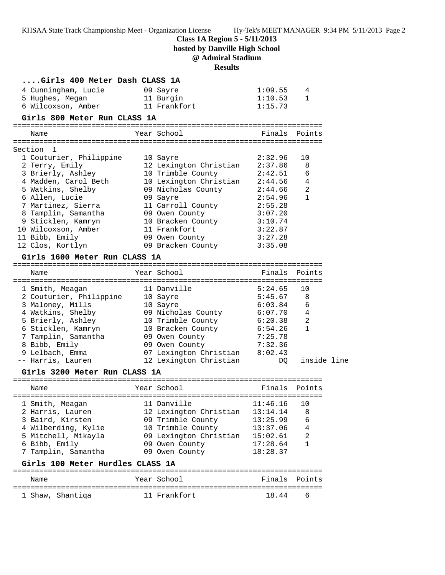**Class 1A Region 5 - 5/11/2013**

**hosted by Danville High School**

# **@ Admiral Stadium**

## **Results**

| Girls 400 Meter Dash CLASS 1A    |                        |          |                |  |
|----------------------------------|------------------------|----------|----------------|--|
| 4 Cunningham, Lucie              | 09 Sayre               | 1:09.55  | 4              |  |
| 5 Hughes, Megan                  | 11 Burgin              | 1:10.53  | $\mathbf{1}$   |  |
| 6 Wilcoxson, Amber               | 11 Frankfort           | 1:15.73  |                |  |
| Girls 800 Meter Run CLASS 1A     |                        |          |                |  |
|                                  | Year School            | Finals   | Points         |  |
| Name                             |                        |          |                |  |
| 1<br>Section                     |                        |          |                |  |
| 1 Couturier, Philippine          | 10 Sayre               | 2:32.96  | 10             |  |
| 2 Terry, Emily                   | 12 Lexington Christian | 2:37.86  | 8              |  |
| 3 Brierly, Ashley                | 10 Trimble County      | 2:42.51  | 6              |  |
| 4 Madden, Carol Beth             | 10 Lexington Christian | 2:44.56  | 4              |  |
| 5 Watkins, Shelby                | 09 Nicholas County     | 2:44.66  | $\overline{a}$ |  |
| 6 Allen, Lucie                   | 09 Sayre               | 2:54.96  | $\mathbf{1}$   |  |
| 7 Martinez, Sierra               | 11 Carroll County      | 2:55.28  |                |  |
| 8 Tamplin, Samantha              | 09 Owen County         | 3:07.20  |                |  |
| 9 Sticklen, Kamryn               | 10 Bracken County      | 3:10.74  |                |  |
| 10 Wilcoxson, Amber              | 11 Frankfort           | 3:22.87  |                |  |
| 11 Bibb, Emily                   | 09 Owen County         | 3:27.28  |                |  |
| 12 Clos, Kortlyn                 | 09 Bracken County      | 3:35.08  |                |  |
| Girls 1600 Meter Run CLASS 1A    |                        |          |                |  |
|                                  |                        |          |                |  |
| Name                             | Year School            | Finals   | Points         |  |
|                                  |                        |          |                |  |
| 1 Smith, Meagan                  | 11 Danville            | 5:24.65  | 10             |  |
| 2 Couturier, Philippine          | 10 Sayre               | 5:45.67  | 8              |  |
| 3 Maloney, Mills                 | 10 Sayre               | 6:03.84  | 6              |  |
| 4 Watkins, Shelby                | 09 Nicholas County     | 6:07.70  | 4              |  |
| 5 Brierly, Ashley                | 10 Trimble County      | 6:20.38  | $\overline{a}$ |  |
| 6 Sticklen, Kamryn               | 10 Bracken County      | 6:54.26  | $\mathbf{1}$   |  |
| 7 Tamplin, Samantha              | 09 Owen County         | 7:25.78  |                |  |
| 8 Bibb, Emily                    | 09 Owen County         | 7:32.36  |                |  |
| 9 Lelbach, Emma                  | 07 Lexington Christian | 8:02.43  |                |  |
| -- Harris, Lauren                | 12 Lexington Christian | DQ.      | inside line    |  |
| Girls 3200 Meter Run CLASS 1A    |                        |          |                |  |
|                                  |                        |          |                |  |
| Name                             | Year School            | Finals   | Points         |  |
|                                  |                        |          |                |  |
| 1 Smith, Meagan                  | 11 Danville            | 11:46.16 | 10             |  |
| 2 Harris, Lauren                 | 12 Lexington Christian | 13:14.14 | 8              |  |
| 3 Baird, Kirsten                 | 09 Trimble County      | 13:25.99 | 6              |  |
| 4 Wilberding, Kylie              | 10 Trimble County      | 13:37.06 | 4              |  |
| 5 Mitchell, Mikayla              | 09 Lexington Christian | 15:02.61 | 2<br>1         |  |
| 6 Bibb, Emily                    | 09 Owen County         | 17:28.64 |                |  |
| 7 Tamplin, Samantha              | 09 Owen County         | 18:28.37 |                |  |
| Girls 100 Meter Hurdles CLASS 1A |                        |          |                |  |
| Name                             | Year School            | Finals   | Points         |  |
|                                  |                        |          |                |  |
| 1 Shaw, Shantiqa                 | 11 Frankfort           | 18.44    | 6              |  |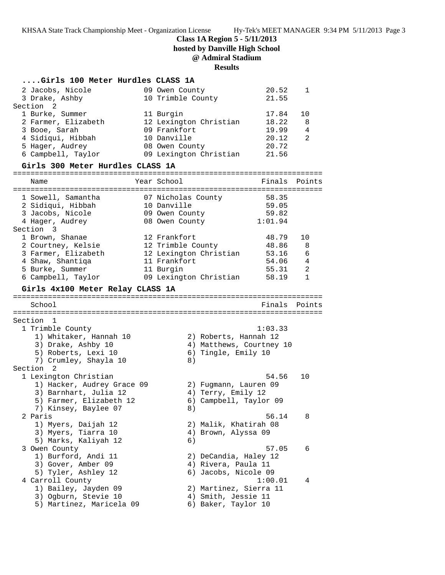**Class 1A Region 5 - 5/11/2013**

**hosted by Danville High School**

# **@ Admiral Stadium**

### **Results**

## **....Girls 100 Meter Hurdles CLASS 1A**

| 2 Jacobs, Nicole     |  | 20.52                                                                                                                                                 |       |
|----------------------|--|-------------------------------------------------------------------------------------------------------------------------------------------------------|-------|
| 3 Drake, Ashby       |  |                                                                                                                                                       |       |
| Section <sub>2</sub> |  |                                                                                                                                                       |       |
| 1 Burke, Summer      |  | 17.84                                                                                                                                                 | 1 N   |
| 2 Farmer, Elizabeth  |  | 18.22                                                                                                                                                 | 8     |
| 3 Booe, Sarah        |  | 19.99                                                                                                                                                 | 4     |
| 4 Sidiqui, Hibbah    |  | 20.12                                                                                                                                                 | 2     |
| 5 Hager, Audrey      |  | 20.72                                                                                                                                                 |       |
| 6 Campbell, Taylor   |  | 21.56                                                                                                                                                 |       |
|                      |  | 09 Owen County<br>10 Trimble County<br>11 Burgin<br>12 Lexington Christian<br>09 Frankfort<br>10 Danville<br>08 Owen County<br>09 Lexington Christian | 21.55 |

### **Girls 300 Meter Hurdles CLASS 1A**

| Name                                                                                                                                                          | Year School                                                                                                        | Finals                                                                              | Points                                 |
|---------------------------------------------------------------------------------------------------------------------------------------------------------------|--------------------------------------------------------------------------------------------------------------------|-------------------------------------------------------------------------------------|----------------------------------------|
| 1 Sowell, Samantha<br>2 Sidiqui, Hibbah<br>3 Jacobs, Nicole<br>4 Hager, Audrey<br>Section 3                                                                   | 07 Nicholas County<br>10 Danville<br>09 Owen County<br>08 Owen County                                              | 58.35<br>59.05<br>59.82<br>1:01.94                                                  |                                        |
| 1 Brown, Shanae<br>2 Courtney, Kelsie<br>3 Farmer, Elizabeth<br>4 Shaw, Shantiqa<br>5 Burke, Summer<br>6 Campbell, Taylor<br>Girls 4x100 Meter Relay CLASS 1A | 12 Frankfort<br>12 Trimble County<br>12 Lexington Christian<br>11 Frankfort<br>11 Burgin<br>09 Lexington Christian | 48.79<br>48.86<br>53.16<br>54.06<br>55.31<br>58.19                                  | 10<br>8<br>6<br>4<br>2<br>$\mathbf{1}$ |
| School                                                                                                                                                        |                                                                                                                    | Finals                                                                              | Points                                 |
| Section 1<br>1 Trimble County<br>1) Whitaker, Hannah 10<br>3) Drake, Ashby 10<br>5) Roberts, Lexi 10<br>7) Crumley, Shayla 10<br>Section <sub>2</sub>         | 8)                                                                                                                 | 1:03.33<br>2) Roberts, Hannah 12<br>4) Matthews, Courtney 10<br>6) Tingle, Emily 10 |                                        |
| 1 Lexington Christian<br>1) Hacker, Audrey Grace 09<br>3) Barnhart, Julia 12<br>5) Farmer, Elizabeth 12<br>7) Kinsey, Baylee 07                               | 8)                                                                                                                 | 54.56<br>2) Fugmann, Lauren 09<br>4) Terry, Emily 12<br>6) Campbell, Taylor 09      | 10                                     |
| 2 Paris<br>1) Myers, Daijah 12<br>3) Myers, Tiarra 10<br>5) Marks, Kaliyah 12                                                                                 | 6)                                                                                                                 | 56.14<br>2) Malik, Khatirah 08<br>4) Brown, Alyssa 09                               | 8                                      |
| 3 Owen County<br>1) Burford, Andi 11<br>3) Gover, Amber 09<br>5) Tyler, Ashley 12                                                                             |                                                                                                                    | 57.05<br>2) DeCandia, Haley 12<br>4) Rivera, Paula 11<br>6) Jacobs, Nicole 09       | 6                                      |
| 4 Carroll County<br>1) Bailey, Jayden 09<br>3) Ogburn, Stevie 10<br>5) Martinez, Maricela 09                                                                  |                                                                                                                    | 1:00.01<br>2) Martinez, Sierra 11<br>4) Smith, Jessie 11<br>6) Baker, Taylor 10     | 4                                      |
|                                                                                                                                                               |                                                                                                                    |                                                                                     |                                        |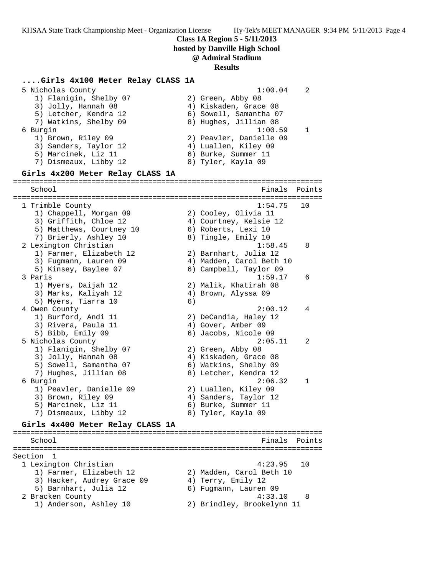**Class 1A Region 5 - 5/11/2013**

**hosted by Danville High School**

### **@ Admiral Stadium**

#### **Results**

#### **....Girls 4x100 Meter Relay CLASS 1A**

 5 Nicholas County 1:00.04 2 1) Flanigin, Shelby 07 (2) Green, Abby 08 3) Jolly, Hannah 08 4) Kiskaden, Grace 08 5) Letcher, Kendra 12 6) Sowell, Samantha 07 7) Watkins, Shelby 09 8) Hughes, Jillian 08 6 Burgin 1:00.59 1 1) Brown, Riley 09 2) Peavler, Danielle 09 3) Sanders, Taylor 12 (4) Luallen, Kiley 09 5) Marcinek, Liz 11 (6) Burke, Summer 11 7) Dismeaux, Libby 12 8) Tyler, Kayla 09 **Girls 4x200 Meter Relay CLASS 1A** ======================================================================= School **Finals Points** ======================================================================= 1 Trimble County 1:54.75 10 1) Chappell, Morgan 09 2) Cooley, Olivia 11 3) Griffith, Chloe 12 4) Courtney, Kelsie 12 5) Matthews, Courtney 10 6) Roberts, Lexi 10 7) Brierly, Ashley 10 8) Tingle, Emily 10 2 Lexington Christian 1:58.45 8 1) Farmer, Elizabeth 12 2) Barnhart, Julia 12 3) Fugmann, Lauren 09 4) Madden, Carol Beth 10 5) Kinsey, Baylee 07 6) Campbell, Taylor 09 3 Paris 1:59.17 6 1) Myers, Daijah 12 2) Malik, Khatirah 08 3) Marks, Kaliyah 12 4) Brown, Alyssa 09 5) Myers, Tiarra 10 (6) 4 Owen County 2:00.12 4 1) Burford, Andi 11 2) DeCandia, Haley 12 3) Rivera, Paula 11 (4) Gover, Amber 09 5) Bibb, Emily 09 6) Jacobs, Nicole 09 5 Nicholas County 2:05.11 2 1) Flanigin, Shelby 07 (2) Green, Abby 08 3) Jolly, Hannah 08 4) Kiskaden, Grace 08 5) Sowell, Samantha 07 6) Watkins, Shelby 09 7) Hughes, Jillian 08 8) Letcher, Kendra 12 6 Burgin 2:06.32 1 1) Peavler, Danielle 09 2) Luallen, Kiley 09 3) Brown, Riley 09 4) Sanders, Taylor 12 5) Marcinek, Liz 11 (6) Burke, Summer 11 7) Dismeaux, Libby 12 8) Tyler, Kayla 09 **Girls 4x400 Meter Relay CLASS 1A**

### ======================================================================= School **Finals Points** ======================================================================= Section 1<br>1 Lexington Christian 1 Lexington Christian 4:23.95 10 1) Farmer, Elizabeth 12 2) Madden, Carol Beth 10 3) Hacker, Audrey Grace 09 4) Terry, Emily 12 5) Barnhart, Julia 12 6) Fugmann, Lauren 09 2 Bracken County 4:33.10 8 1) Anderson, Ashley 10 2) Brindley, Brookelynn 11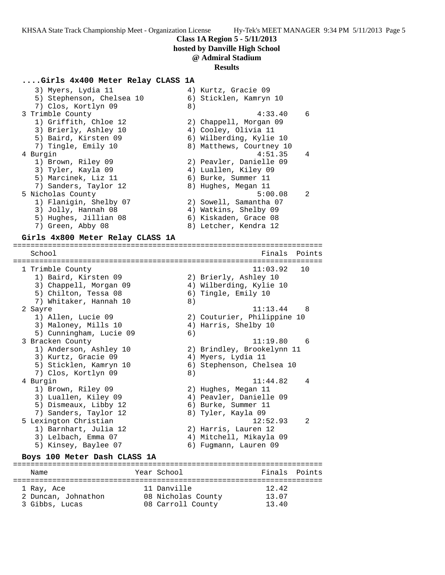#### **Class 1A Region 5 - 5/11/2013**

**hosted by Danville High School**

### **@ Admiral Stadium**

#### **Results**

### **....Girls 4x400 Meter Relay CLASS 1A**

| 3) Myers, Lydia 11                         |    | 4) Kurtz, Gracie 09                            |        |
|--------------------------------------------|----|------------------------------------------------|--------|
| 5) Stephenson, Chelsea 10                  |    | 6) Sticklen, Kamryn 10                         |        |
| 7) Clos, Kortlyn 09                        | 8) |                                                |        |
| 3 Trimble County                           |    | 4:33.40<br>6                                   |        |
| 1) Griffith, Chloe 12                      |    | 2) Chappell, Morgan 09                         |        |
| 3) Brierly, Ashley 10                      |    | 4) Cooley, Olivia 11                           |        |
| 5) Baird, Kirsten 09                       |    | 6) Wilberding, Kylie 10                        |        |
| 7) Tingle, Emily 10                        |    | 8) Matthews, Courtney 10                       |        |
| 4 Burgin                                   |    | 4<br>4:51.35                                   |        |
| 1) Brown, Riley 09                         |    | 2) Peavler, Danielle 09                        |        |
| 3) Tyler, Kayla 09                         |    | 4) Luallen, Kiley 09                           |        |
| 5) Marcinek, Liz 11                        |    | 6) Burke, Summer 11                            |        |
| 7) Sanders, Taylor 12                      |    | 8) Hughes, Megan 11                            |        |
| 5 Nicholas County                          |    | 5:00.08<br>2                                   |        |
| 1) Flanigin, Shelby 07                     |    | 2) Sowell, Samantha 07                         |        |
| 3) Jolly, Hannah 08                        |    | 4) Watkins, Shelby 09                          |        |
| 5) Hughes, Jillian 08                      |    | 6) Kiskaden, Grace 08                          |        |
| 7) Green, Abby 08                          |    | 8) Letcher, Kendra 12                          |        |
| Girls 4x800 Meter Relay CLASS 1A           |    |                                                |        |
|                                            |    |                                                |        |
|                                            |    |                                                |        |
| School                                     |    | Finals                                         | Points |
|                                            |    |                                                |        |
| 1 Trimble County                           |    | 11:03.92<br>10                                 |        |
| 1) Baird, Kirsten 09                       |    | 2) Brierly, Ashley 10                          |        |
| 3) Chappell, Morgan 09                     |    | 4) Wilberding, Kylie 10                        |        |
| 5) Chilton, Tessa 08                       |    | 6) Tingle, Emily 10                            |        |
| 7) Whitaker, Hannah 10                     | 8) |                                                |        |
| 2 Sayre                                    |    | 11:13.44<br>8                                  |        |
| 1) Allen, Lucie 09                         |    | 2) Couturier, Philippine 10                    |        |
| 3) Maloney, Mills 10                       |    | 4) Harris, Shelby 10                           |        |
| 5) Cunningham, Lucie 09                    | 6) |                                                |        |
| 3 Bracken County                           |    | 11:19.80<br>6                                  |        |
| 1) Anderson, Ashley 10                     |    | 2) Brindley, Brookelynn 11                     |        |
| 3) Kurtz, Gracie 09                        |    | 4) Myers, Lydia 11                             |        |
| 5) Sticklen, Kamryn 10                     |    | 6) Stephenson, Chelsea 10                      |        |
| 7) Clos, Kortlyn 09                        | 8) |                                                |        |
| 4 Burgin                                   |    | 11:44.82<br>4                                  |        |
| 1) Brown, Riley 09<br>3) Luallen, Kiley 09 |    | 2) Hughes, Megan 11<br>4) Peavler, Danielle 09 |        |

5) Dismeaux, Libby 12 (6) Burke, Summer 11 7) Sanders, Taylor 12 8) Tyler, Kayla 09

 1) Barnhart, Julia 12 2) Harris, Lauren 12 3) Lelbach, Emma 07 4) Mitchell, Mikayla 09 5) Kinsey, Baylee 07 6) Fugmann, Lauren 09

 1 Ray, Ace 11 Danville 12.42 2 Duncan, Johnathon 08 Nicholas County 13.07 3 Gibbs, Lucas 08 Carroll County 13.40

**Boys 100 Meter Dash CLASS 1A**

5 Lexington Christian 12:52.93 2

======================================================================= Name The Year School The Finals Points =======================================================================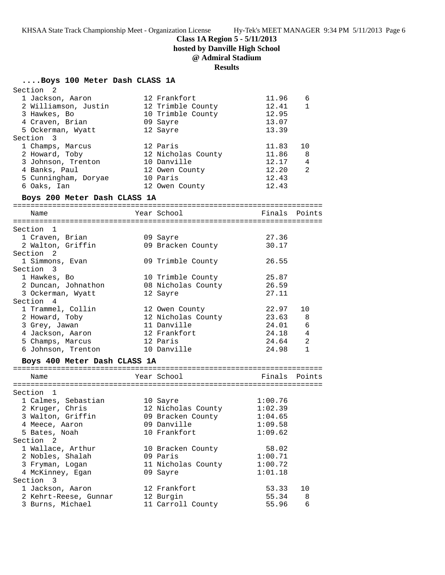## **Class 1A Region 5 - 5/11/2013**

**hosted by Danville High School**

# **@ Admiral Stadium**

## **Results**

## **....Boys 100 Meter Dash CLASS 1A**

| Section 2                    |                    |               |              |
|------------------------------|--------------------|---------------|--------------|
| 1 Jackson, Aaron             | 12 Frankfort       | 11.96         | 6            |
| 2 Williamson, Justin         | 12 Trimble County  | 12.41         | $\mathbf{1}$ |
| 3 Hawkes, Bo                 | 10 Trimble County  | 12.95         |              |
| 4 Craven, Brian              | 09 Sayre           | 13.07         |              |
| 5 Ockerman, Wyatt            | 12 Sayre           | 13.39         |              |
| Section 3                    |                    |               |              |
| 1 Champs, Marcus             | 12 Paris           | 11.83         | 10           |
| 2 Howard, Toby               | 12 Nicholas County | 11.86         | 8            |
| 3 Johnson, Trenton           | 10 Danville        | 12.17         | 4            |
| 4 Banks, Paul                | 12 Owen County     | 12.20         | 2            |
| 5 Cunningham, Doryae         | 10 Paris           | 12.43         |              |
| 6 Oaks, Ian                  | 12 Owen County     | 12.43         |              |
| Boys 200 Meter Dash CLASS 1A |                    |               |              |
|                              | Year School        |               |              |
| Name                         |                    | Finals Points |              |
| Section 1                    |                    |               |              |
| 1 Craven, Brian              | 09 Sayre           | 27.36         |              |
| 2 Walton, Griffin            | 09 Bracken County  | 30.17         |              |
| Section 2                    |                    |               |              |
| 1 Simmons, Evan              | 09 Trimble County  | 26.55         |              |
| Section 3                    |                    |               |              |
| 1 Hawkes, Bo                 | 10 Trimble County  | 25.87         |              |
| 2 Duncan, Johnathon          | 08 Nicholas County | 26.59         |              |
| 3 Ockerman, Wyatt            | 12 Sayre           | 27.11         |              |
| Section 4                    |                    |               |              |
| 1 Trammel, Collin            | 12 Owen County     | 22.97         | 10           |
| 2 Howard, Toby               | 12 Nicholas County | 23.63 8       |              |
| 3 Grey, Jawan                | 11 Danville        | 24.01         | 6            |
| 4 Jackson, Aaron             | 12 Frankfort       | 24.18 4       |              |
| 5 Champs, Marcus             | 12 Paris           | 24.64         | 2            |
| 6 Johnson, Trenton           | 10 Danville        | $24.98$ 1     |              |
| Boys 400 Meter Dash CLASS 1A |                    |               |              |
|                              |                    |               |              |
| Name                         | Year School        | Finals Points |              |
| Section 1                    |                    |               |              |
| 1 Calmes, Sebastian          | 10 Sayre           | 1:00.76       |              |
| 2 Kruger, Chris              | 12 Nicholas County | 1:02.39       |              |
| 3 Walton, Griffin            | 09 Bracken County  | 1:04.65       |              |
| 4 Meece, Aaron               | 09 Danville        | 1:09.58       |              |
| 5 Bates, Noah                | 10 Frankfort       | 1:09.62       |              |
| Section <sub>2</sub>         |                    |               |              |
| 1 Wallace, Arthur            | 10 Bracken County  | 58.02         |              |
| 2 Nobles, Shalah             | 09 Paris           | 1:00.71       |              |
| 3 Fryman, Logan              | 11 Nicholas County | 1:00.72       |              |
| 4 McKinney, Egan             | 09 Sayre           | 1:01.18       |              |
| Section 3                    |                    |               |              |
| 1 Jackson, Aaron             | 12 Frankfort       | 53.33         | 10           |
| 2 Kehrt-Reese, Gunnar        | 12 Burgin          | 55.34         | 8            |
| 3 Burns, Michael             | 11 Carroll County  | 55.96         | 6            |
|                              |                    |               |              |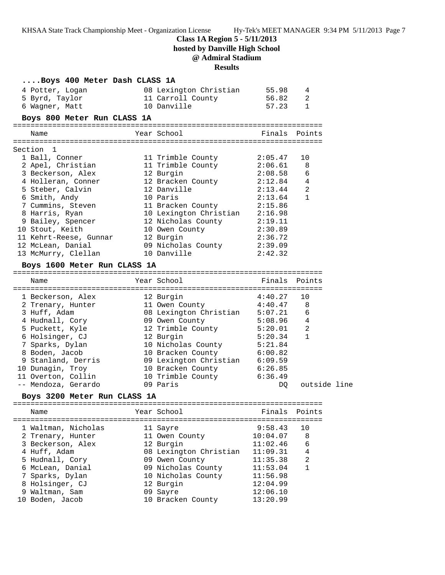**Class 1A Region 5 - 5/11/2013**

**hosted by Danville High School**

# **@ Admiral Stadium**

## **Results**

| Boys 400 Meter Dash CLASS 1A |                                   |               |                |  |
|------------------------------|-----------------------------------|---------------|----------------|--|
| 4 Potter, Logan              | 08 Lexington Christian            | 55.98         | 4              |  |
| 5 Byrd, Taylor               | 11 Carroll County                 | 56.82         | 2              |  |
| 6 Wagner, Matt               | 10 Danville                       | 57.23         | 1              |  |
| Boys 800 Meter Run CLASS 1A  |                                   |               |                |  |
|                              |                                   |               |                |  |
| Name                         | Year School                       | Finals Points |                |  |
| Section 1                    |                                   |               |                |  |
| 1 Ball, Conner               | 11 Trimble County                 | 2:05.47       | 10             |  |
| 2 Apel, Christian            | 11 Trimble County                 | 2:06.61       | 8              |  |
| 3 Beckerson, Alex            | 12 Burgin                         | 2:08.58       | 6              |  |
| 4 Holleran, Conner           | 12 Bracken County                 | 2:12.84       | 4              |  |
| 5 Steber, Calvin             | 12 Danville                       | 2:13.44       | $\overline{a}$ |  |
| 6 Smith, Andy                | 10 Paris                          | 2:13.64       | $\mathbf{1}$   |  |
| 7 Cummins, Steven            | 11 Bracken County                 | 2:15.86       |                |  |
| 8 Harris, Ryan               | 10 Lexington Christian            | 2:16.98       |                |  |
| 9 Bailey, Spencer            | 12 Nicholas County                | 2:19.11       |                |  |
| 10 Stout, Keith              | 10 Owen County                    | 2:30.89       |                |  |
| 11 Kehrt-Reese, Gunnar       | 12 Burgin                         | 2:36.72       |                |  |
| 12 McLean, Danial            |                                   | 2:39.09       |                |  |
| 13 McMurry, Clellan          | 09 Nicholas County<br>10 Danville | 2:42.32       |                |  |
| Boys 1600 Meter Run CLASS 1A |                                   |               |                |  |
|                              |                                   |               |                |  |
| Name                         | Year School                       | Finals Points |                |  |
|                              |                                   |               |                |  |
| 1 Beckerson, Alex            | 12 Burgin                         | 4:40.27       | 10             |  |
| 2 Trenary, Hunter            | 11 Owen County                    | 4:40.47       | 8              |  |
| 3 Huff, Adam                 | 08 Lexington Christian            | 5:07.21       | 6              |  |
| 4 Hudnall, Cory              | 09 Owen County                    | 5:08.96       | $\overline{4}$ |  |
| 5 Puckett, Kyle              | 12 Trimble County                 | 5:20.01       | $\overline{a}$ |  |
| 6 Holsinger, CJ              | 12 Burgin                         | 5:20.34       | $\mathbf{1}$   |  |
| 7 Sparks, Dylan              | 10 Nicholas County                | 5:21.84       |                |  |
| 8 Boden, Jacob               | 10 Bracken County                 | 6:00.82       |                |  |
| 9 Stanland, Derris           | 09 Lexington Christian            | 6:09.59       |                |  |
| 10 Dunagin, Troy             | 10 Bracken County                 | 6:26.85       |                |  |
| 11 Overton, Collin           | 10 Trimble County 6:36.49         |               |                |  |
| -- Mendoza, Gerardo          | 09 Paris                          | DQ            | outside line   |  |
| Boys 3200 Meter Run CLASS 1A |                                   |               |                |  |
| Name                         | Year School                       | Finals        | Points         |  |
|                              |                                   |               |                |  |
| 1 Waltman, Nicholas          | 11 Sayre                          | 9:58.43       | 10             |  |
| 2 Trenary, Hunter            | 11 Owen County                    | 10:04.07      | 8              |  |
| 3 Beckerson, Alex            | 12 Burgin                         | 11:02.46      | 6              |  |
| 4 Huff, Adam                 | 08 Lexington Christian            | 11:09.31      | 4              |  |
| 5 Hudnall, Cory              | 09 Owen County                    | 11:35.38      | 2              |  |
| 6 McLean, Danial             | 09 Nicholas County                | 11:53.04      | $\mathbf{1}$   |  |
| 7 Sparks, Dylan              | 10 Nicholas County                | 11:56.98      |                |  |
| 8 Holsinger, CJ              | 12 Burgin                         | 12:04.99      |                |  |
| 9 Waltman, Sam               | 09 Sayre                          | 12:06.10      |                |  |
| 10 Boden, Jacob              | 10 Bracken County                 | 13:20.99      |                |  |

10 Boden, Jacob 10 Bracken County 13:20.99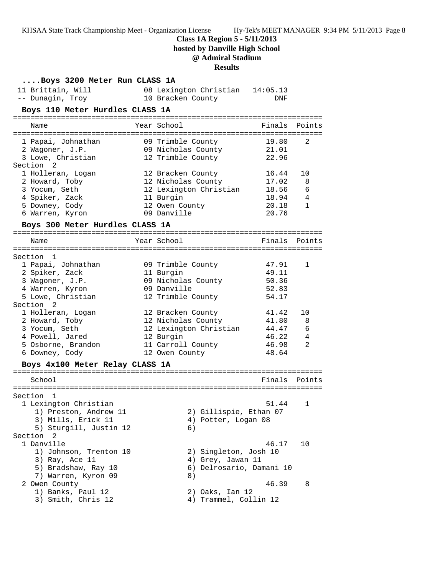**Class 1A Region 5 - 5/11/2013**

**hosted by Danville High School**

# **@ Admiral Stadium**

## **Results**

| Boys 3200 Meter Run CLASS 1A    |                                 |                |                |
|---------------------------------|---------------------------------|----------------|----------------|
| 11 Brittain, Will               | 08 Lexington Christian 14:05.13 |                |                |
| -- Dunagin, Troy                | 10 Bracken County               | DNF            |                |
| Boys 110 Meter Hurdles CLASS 1A |                                 |                |                |
| Name                            | Year School                     | Finals         | Points         |
| 1 Papai, Johnathan              | 09 Trimble County               | 19.80          | 2              |
| 2 Wagoner, J.P.                 | 09 Nicholas County              | 21.01          |                |
| 3 Lowe, Christian               | 12 Trimble County               | 22.96          |                |
| Section <sub>2</sub>            |                                 |                |                |
| 1 Holleran, Logan               | 12 Bracken County               | 16.44          | 10             |
| 2 Howard, Toby                  | 12 Nicholas County              | 17.02          | 8              |
| 3 Yocum, Seth                   | 12 Lexington Christian          | 18.56          | 6              |
| 4 Spiker, Zack                  | 11 Burgin                       | 18.94          | 4              |
| 5 Downey, Cody                  | 12 Owen County                  | 20.18          | $\mathbf{1}$   |
| 6 Warren, Kyron                 | 09 Danville                     | 20.76          |                |
| Boys 300 Meter Hurdles CLASS 1A |                                 |                |                |
| Name                            | Year School                     | Finals         | Points         |
|                                 |                                 |                |                |
| Section 1                       |                                 |                |                |
| 1 Papai, Johnathan              | 09 Trimble County               | 47.91          | 1              |
| 2 Spiker, Zack                  | 11 Burgin                       | 49.11          |                |
| 3 Wagoner, J.P.                 | 09 Nicholas County              | 50.36          |                |
| 4 Warren, Kyron                 | 09 Danville                     | 52.83          |                |
| 5 Lowe, Christian               | 12 Trimble County               | 54.17          |                |
| Section <sub>2</sub>            |                                 |                |                |
| 1 Holleran, Logan               | 12 Bracken County               | 41.42          | 10             |
| 2 Howard, Toby                  | 12 Nicholas County              | 41.80          | 8              |
| 3 Yocum, Seth                   | 12 Lexington Christian          | 44.47          | 6              |
| 4 Powell, Jared                 | 12 Burgin                       | 46.22          | 4              |
| 5 Osborne, Brandon              | 11 Carroll County               | 46.98<br>48.64 | $\mathfrak{D}$ |
| 6 Downey, Cody                  | 12 Owen County                  |                |                |
| Boys 4x100 Meter Relay CLASS 1A |                                 |                |                |
| School                          |                                 | Finals         | Points         |
|                                 |                                 |                |                |
| Section<br>1                    |                                 |                |                |
| 1 Lexington Christian           |                                 | 51.44          | 1              |
| 1) Preston, Andrew 11           | 2) Gillispie, Ethan 07          |                |                |
| 3) Mills, Erick 11              | 4) Potter, Logan 08             |                |                |
| 5) Sturgill, Justin 12          | 6)                              |                |                |
| Section 2                       |                                 |                |                |
| 1 Danville                      |                                 | 46.17          | 10             |
| 1) Johnson, Trenton 10          | 2) Singleton, Josh 10           |                |                |
| 3) Ray, Ace 11                  | 4) Grey, Jawan 11               |                |                |
| 5) Bradshaw, Ray 10             | 6) Delrosario, Damani 10        |                |                |
| 7) Warren, Kyron 09             | 8)                              |                |                |
| 2 Owen County                   |                                 | 46.39          | 8              |
| 1) Banks, Paul 12               | 2) Oaks, Ian 12                 |                |                |
| 3) Smith, Chris 12              | 4) Trammel, Collin 12           |                |                |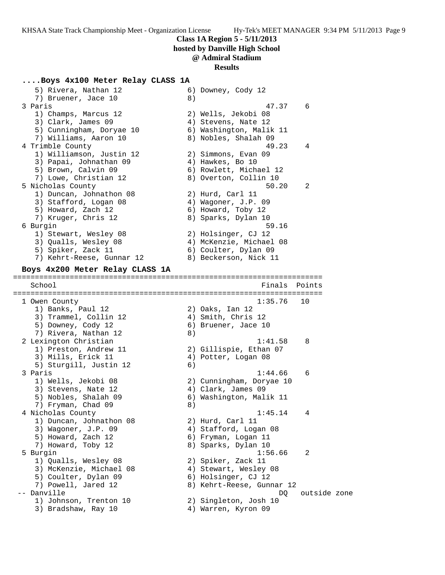### **Class 1A Region 5 - 5/11/2013**

**hosted by Danville High School**

### **@ Admiral Stadium**

#### **Results**

#### **....Boys 4x100 Meter Relay CLASS 1A**

 $5)$  Rivera, Nathan 12<br>
5) Rivera, Nathan 12<br>
7) Bruener, Jace 10<br>
8) 7) Bruener, Jace 10 (8) 3 Paris 47.37 6 1) Champs, Marcus 12 2) Wells, Jekobi 08 3) Clark, James 09 (4) Stevens, Nate 12 5) Cunningham, Doryae 10 6) Washington, Malik 11 7) Williams, Aaron 10  $\qquad \qquad$  8) Nobles, Shalah 09 4 Trimble County 49.23 4 1) Williamson, Justin 12 2) Simmons, Evan 09 3) Papai, Johnathan 09  $\hskip1cm 4$ ) Hawkes, Bo 10 5) Brown, Calvin 09 6) Rowlett, Michael 12 7) Lowe, Christian 12 8) Overton, Collin 10 5 Nicholas County 50.20 2 1) Duncan, Johnathon 08 2) Hurd, Carl 11 3) Stafford, Logan 08 (4) Wagoner, J.P. 09 5) Howard, Zach 12 6) Howard, Toby 12 7) Kruger, Chris 12 8) Sparks, Dylan 10 6 Burgin 59.16 1) Stewart, Wesley 08 2) Holsinger, CJ 12 3) Qualls, Wesley 08 4) McKenzie, Michael 08 5) Spiker, Zack 11 (6) Coulter, Dylan 09 7) Kehrt-Reese, Gunnar 12 8) Beckerson, Nick 11 **Boys 4x200 Meter Relay CLASS 1A** ======================================================================= School Finals Points ======================================================================= 1 Owen County 1:35.76 10 1) Banks, Paul 12 2) Oaks, Ian 12 3) Trammel, Collin 12 4) Smith, Chris 12 5) Downey, Cody 12 (6) Bruener, Jace 10 7) Rivera, Nathan 12 (8) 2 Lexington Christian 1:41.58 8 1) Preston, Andrew 11 2) Gillispie, Ethan 07 3) Mills, Erick 11 (4) Potter, Logan 08 5) Sturgill, Justin 12 6) 3 Paris 1:44.66 6 1) Wells, Jekobi 08 2) Cunningham, Doryae 10 3) Stevens, Nate 12 (4) Clark, James 09 5) Nobles, Shalah 09 6) Washington, Malik 11 7) Fryman, Chad 09 8) 4 Nicholas County 1:45.14 4 1) Duncan, Johnathon 08 2) Hurd, Carl 11 3) Wagoner, J.P. 09 4) Stafford, Logan 08 5) Howard, Zach 12 6) Fryman, Logan 11 7) Howard, Toby 12 8) Sparks, Dylan 10 5 Burgin 1:56.66 2 1) Qualls, Wesley 08 2) Spiker, Zack 11 3) McKenzie, Michael 08 4) Stewart, Wesley 08 5) Coulter, Dylan 09 (6) Holsinger, CJ 12 7) Powell, Jared 12 8) Kehrt-Reese, Gunnar 12 -- Danville Danville Danville Danville Danville Danville Danville Danville Danville Danville Danville Danville 1) Johnson, Trenton 10 2) Singleton, Josh 10 3) Bradshaw, Ray 10 4) Warren, Kyron 09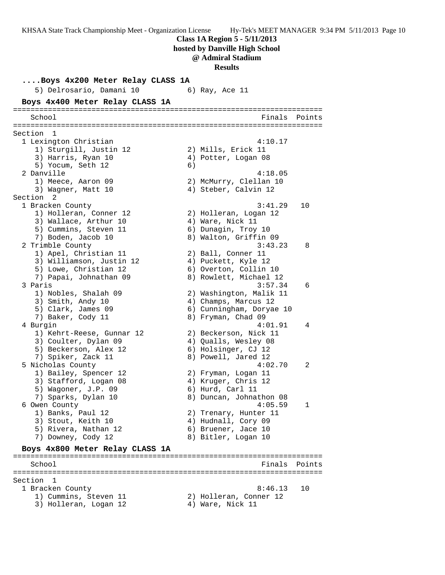**Class 1A Region 5 - 5/11/2013**

**hosted by Danville High School**

**@ Admiral Stadium**

**Results**

**....Boys 4x200 Meter Relay CLASS 1A** 5) Delrosario, Damani 10 (6) Ray, Ace 11 **Boys 4x400 Meter Relay CLASS 1A** ======================================================================= School Finals Points ======================================================================= Section 1 1 Lexington Christian 4:10.17 1) Sturgill, Justin 12 2) Mills, Erick 11 3) Harris, Ryan 10 (4) Potter, Logan 08 5) Yocum, Seth 12 6) 2 Danville 4:18.05 1) Meece, Aaron 09 2) McMurry, Clellan 10 3) Wagner, Matt 10 (4) Steber, Calvin 12 Section 2 1 Bracken County 3:41.29 10 1) Holleran, Conner 12 2) Holleran, Logan 12 3) Wallace, Arthur 10  $\hskip1cm 4$ ) Ware, Nick 11 5) Cummins, Steven 11 (6) Dunagin, Troy 10 7) Boden, Jacob 10 8) Walton, Griffin 09 2 Trimble County 3:43.23 8 1) Apel, Christian 11 2) Ball, Conner 11 3) Williamson, Justin 12 4) Puckett, Kyle 12 5) Lowe, Christian 12 6) Overton, Collin 10 7) Papai, Johnathan 09 8) Rowlett, Michael 12 3 Paris 3:57.34 6 1) Nobles, Shalah 09 2) Washington, Malik 11 3) Smith, Andy 10 4) Champs, Marcus 12 5) Clark, James 09 6) Cunningham, Doryae 10 7) Baker, Cody 11 8) Fryman, Chad 09 4 Burgin 4:01.91 4 1) Kehrt-Reese, Gunnar 12 2) Beckerson, Nick 11 3) Coulter, Dylan 09  $\hskip 1.5cm 4$  ) Qualls, Wesley 08 5) Beckerson, Alex 12 (6) Holsinger, CJ 12 7) Spiker, Zack 11 and 8) Powell, Jared 12 5 Nicholas County 4:02.70 2 1) Bailey, Spencer 12 2) Fryman, Logan 11 3) Stafford, Logan 08 (4) Kruger, Chris 12 5) Wagoner, J.P. 09 6) Hurd, Carl 11 7) Sparks, Dylan 10 8) Duncan, Johnathon 08 6 Owen County 4:05.59 1 1) Banks, Paul 12 2) Trenary, Hunter 11 3) Stout, Keith 10  $\hskip1cm 4)$  Hudnall, Cory 09 5) Rivera, Nathan 12 (6) Bruener, Jace 10 7) Downey, Cody 12 8) Bitler, Logan 10 **Boys 4x800 Meter Relay CLASS 1A** ======================================================================= School **Finals** Points ======================================================================= Section 1 1 Bracken County 8:46.13 10 1) Cummins, Steven 11 2) Holleran, Conner 12 3) Holleran, Logan 12 (4) Ware, Nick 11